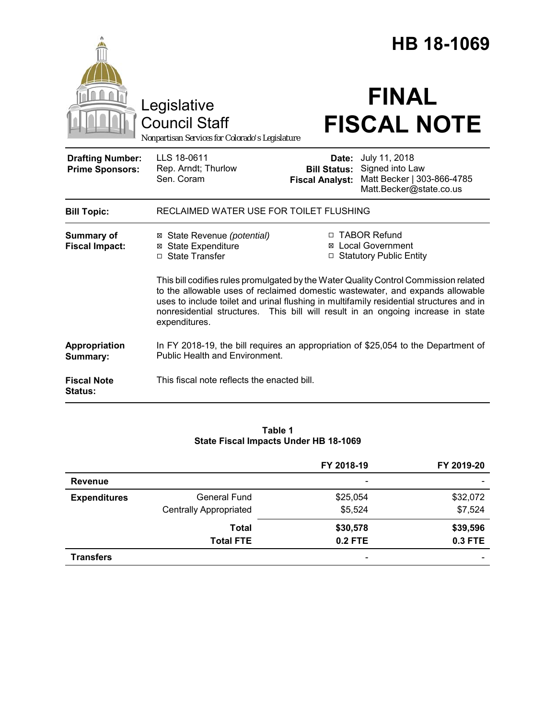|                                                   |                                                                                                                                                                                                                                                                                                                                                                       | HB 18-1069                                             |                                                                                           |  |  |
|---------------------------------------------------|-----------------------------------------------------------------------------------------------------------------------------------------------------------------------------------------------------------------------------------------------------------------------------------------------------------------------------------------------------------------------|--------------------------------------------------------|-------------------------------------------------------------------------------------------|--|--|
|                                                   | Legislative<br><b>Council Staff</b><br>Nonpartisan Services for Colorado's Legislature                                                                                                                                                                                                                                                                                |                                                        | <b>FINAL</b><br><b>FISCAL NOTE</b>                                                        |  |  |
| <b>Drafting Number:</b><br><b>Prime Sponsors:</b> | LLS 18-0611<br>Rep. Arndt; Thurlow<br>Sen. Coram                                                                                                                                                                                                                                                                                                                      | Date:<br><b>Bill Status:</b><br><b>Fiscal Analyst:</b> | July 11, 2018<br>Signed into Law<br>Matt Becker   303-866-4785<br>Matt.Becker@state.co.us |  |  |
| <b>Bill Topic:</b>                                | RECLAIMED WATER USE FOR TOILET FLUSHING                                                                                                                                                                                                                                                                                                                               |                                                        |                                                                                           |  |  |
| <b>Summary of</b><br><b>Fiscal Impact:</b>        | ⊠ State Revenue (potential)<br><b>⊠</b> State Expenditure<br>□ State Transfer                                                                                                                                                                                                                                                                                         |                                                        | □ TABOR Refund<br><b>Local Government</b><br>□ Statutory Public Entity                    |  |  |
|                                                   | This bill codifies rules promulgated by the Water Quality Control Commission related<br>to the allowable uses of reclaimed domestic wastewater, and expands allowable<br>uses to include toilet and urinal flushing in multifamily residential structures and in<br>nonresidential structures. This bill will result in an ongoing increase in state<br>expenditures. |                                                        |                                                                                           |  |  |
| Appropriation<br>Summary:                         | In FY 2018-19, the bill requires an appropriation of \$25,054 to the Department of<br><b>Public Health and Environment.</b>                                                                                                                                                                                                                                           |                                                        |                                                                                           |  |  |
| <b>Fiscal Note</b><br><b>Status:</b>              | This fiscal note reflects the enacted bill.                                                                                                                                                                                                                                                                                                                           |                                                        |                                                                                           |  |  |

# **Table 1 State Fiscal Impacts Under HB 18-1069**

|                     |                               | FY 2018-19                   | FY 2019-20               |
|---------------------|-------------------------------|------------------------------|--------------------------|
| <b>Revenue</b>      |                               | $\qquad \qquad \blacksquare$ | $\overline{\phantom{0}}$ |
| <b>Expenditures</b> | <b>General Fund</b>           | \$25,054                     | \$32,072                 |
|                     | <b>Centrally Appropriated</b> | \$5,524                      | \$7,524                  |
|                     | <b>Total</b>                  | \$30,578                     | \$39,596                 |
|                     | <b>Total FTE</b>              | $0.2$ FTE                    | <b>0.3 FTE</b>           |
| <b>Transfers</b>    |                               | -                            |                          |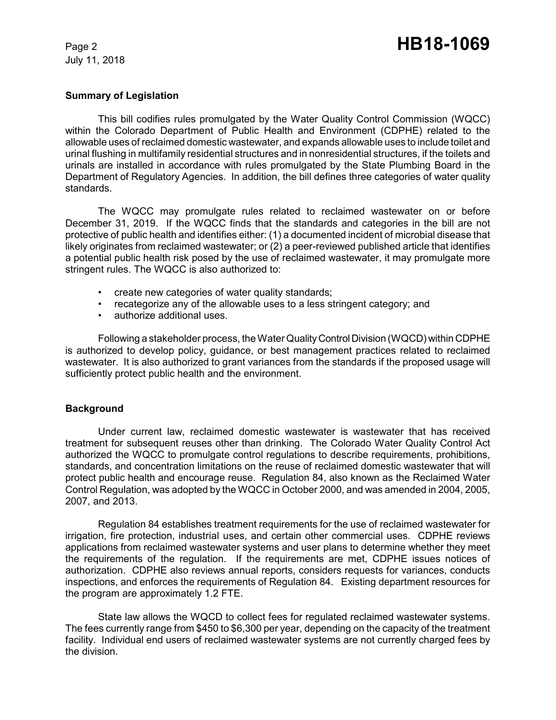July 11, 2018

# **Summary of Legislation**

This bill codifies rules promulgated by the Water Quality Control Commission (WQCC) within the Colorado Department of Public Health and Environment (CDPHE) related to the allowable uses of reclaimed domestic wastewater, and expands allowable uses to include toilet and urinal flushing in multifamily residential structures and in nonresidential structures, if the toilets and urinals are installed in accordance with rules promulgated by the State Plumbing Board in the Department of Regulatory Agencies. In addition, the bill defines three categories of water quality standards.

The WQCC may promulgate rules related to reclaimed wastewater on or before December 31, 2019. If the WQCC finds that the standards and categories in the bill are not protective of public health and identifies either: (1) a documented incident of microbial disease that likely originates from reclaimed wastewater; or (2) a peer-reviewed published article that identifies a potential public health risk posed by the use of reclaimed wastewater, it may promulgate more stringent rules. The WQCC is also authorized to:

- create new categories of water quality standards;
- recategorize any of the allowable uses to a less stringent category; and
- authorize additional uses.

Following a stakeholder process, the Water Quality Control Division (WQCD) within CDPHE is authorized to develop policy, guidance, or best management practices related to reclaimed wastewater. It is also authorized to grant variances from the standards if the proposed usage will sufficiently protect public health and the environment.

# **Background**

Under current law, reclaimed domestic wastewater is wastewater that has received treatment for subsequent reuses other than drinking. The Colorado Water Quality Control Act authorized the WQCC to promulgate control regulations to describe requirements, prohibitions, standards, and concentration limitations on the reuse of reclaimed domestic wastewater that will protect public health and encourage reuse. Regulation 84, also known as the Reclaimed Water Control Regulation, was adopted by the WQCC in October 2000, and was amended in 2004, 2005, 2007, and 2013.

Regulation 84 establishes treatment requirements for the use of reclaimed wastewater for irrigation, fire protection, industrial uses, and certain other commercial uses. CDPHE reviews applications from reclaimed wastewater systems and user plans to determine whether they meet the requirements of the regulation. If the requirements are met, CDPHE issues notices of authorization. CDPHE also reviews annual reports, considers requests for variances, conducts inspections, and enforces the requirements of Regulation 84. Existing department resources for the program are approximately 1.2 FTE.

State law allows the WQCD to collect fees for regulated reclaimed wastewater systems. The fees currently range from \$450 to \$6,300 per year, depending on the capacity of the treatment facility. Individual end users of reclaimed wastewater systems are not currently charged fees by the division.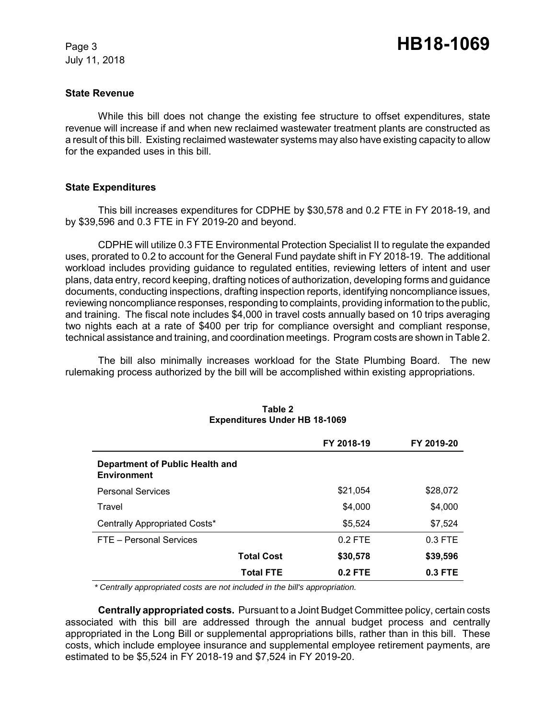July 11, 2018

#### **State Revenue**

While this bill does not change the existing fee structure to offset expenditures, state revenue will increase if and when new reclaimed wastewater treatment plants are constructed as a result of this bill. Existing reclaimed wastewater systems may also have existing capacity to allow for the expanded uses in this bill.

#### **State Expenditures**

This bill increases expenditures for CDPHE by \$30,578 and 0.2 FTE in FY 2018-19, and by \$39,596 and 0.3 FTE in FY 2019-20 and beyond.

CDPHE will utilize 0.3 FTE Environmental Protection Specialist II to regulate the expanded uses, prorated to 0.2 to account for the General Fund paydate shift in FY 2018-19. The additional workload includes providing guidance to regulated entities, reviewing letters of intent and user plans, data entry, record keeping, drafting notices of authorization, developing forms and guidance documents, conducting inspections, drafting inspection reports, identifying noncompliance issues, reviewing noncompliance responses, responding to complaints, providing information to the public, and training. The fiscal note includes \$4,000 in travel costs annually based on 10 trips averaging two nights each at a rate of \$400 per trip for compliance oversight and compliant response, technical assistance and training, and coordination meetings. Program costs are shown in Table 2.

The bill also minimally increases workload for the State Plumbing Board. The new rulemaking process authorized by the bill will be accomplished within existing appropriations.

|                                                       |                   | FY 2018-19 | FY 2019-20 |
|-------------------------------------------------------|-------------------|------------|------------|
| Department of Public Health and<br><b>Environment</b> |                   |            |            |
| <b>Personal Services</b>                              |                   | \$21,054   | \$28,072   |
| Travel                                                |                   | \$4,000    | \$4,000    |
| Centrally Appropriated Costs*                         |                   | \$5.524    | \$7,524    |
| FTE - Personal Services                               |                   | $0.2$ FTE  | $0.3$ FTE  |
|                                                       | <b>Total Cost</b> | \$30,578   | \$39,596   |
|                                                       | <b>Total FTE</b>  | $0.2$ FTE  | $0.3$ FTE  |

#### **Table 2 Expenditures Under HB 18-1069**

 *\* Centrally appropriated costs are not included in the bill's appropriation.*

**Centrally appropriated costs.** Pursuant to a Joint Budget Committee policy, certain costs associated with this bill are addressed through the annual budget process and centrally appropriated in the Long Bill or supplemental appropriations bills, rather than in this bill. These costs, which include employee insurance and supplemental employee retirement payments, are estimated to be \$5,524 in FY 2018-19 and \$7,524 in FY 2019-20.